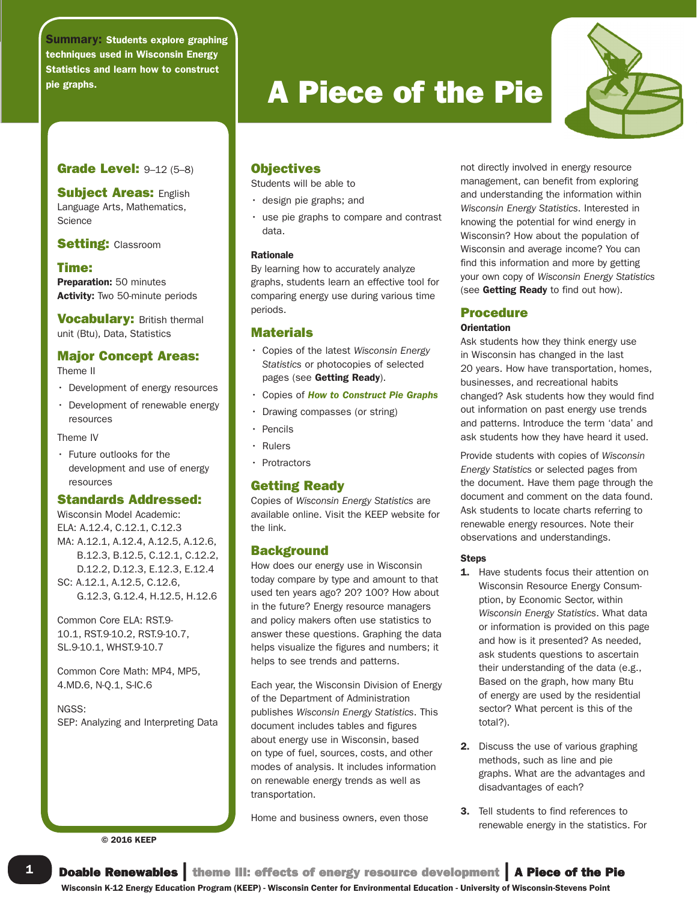Summary: Students explore graphing techniques used in Wisconsin Energy Statistics and learn how to construct

# Grade Level: 9-12 (5-8)

**Subject Areas: English** Language Arts, Mathematics, **Science** 

**Setting: Classroom** 

#### Time:

Preparation: 50 minutes Activity: Two 50-minute periods

**Vocabulary: British thermal** unit (Btu), Data, Statistics

# Major Concept Areas:

Theme II

- Development of energy resources
- Development of renewable energy resources

Theme IV

• Future outlooks for the development and use of energy resources

# Standards Addressed:

Wisconsin Model Academic: ELA: A.12.4, C.12.1, C.12.3 MA: A.12.1, A.12.4, A.12.5, A.12.6, B.12.3, B.12.5, C.12.1, C.12.2, D.12.2, D.12.3, E.12.3, E.12.4 SC: A.12.1, A.12.5, C.12.6, G.12.3, G.12.4, H.12.5, H.12.6

Common Core ELA: RST.9- 10.1, RST.9-10.2, RST.9-10.7, SL.9-10.1, WHST.9-10.7

Common Core Math: MP4, MP5, 4.MD.6, N-Q.1, S-IC.6

NGSS: SEP: Analyzing and Interpreting Data

© 2016 KEEP

# Name *name italic* pie graphs.<br> **A Piece of the Pie**

# **Objectives**

Students will be able to

- design pie graphs; and
- use pie graphs to compare and contrast data.

#### Rationale

By learning how to accurately analyze graphs, students learn an effective tool for comparing energy use during various time periods.

### **Materials**

- Copies of the latest *Wisconsin Energy Statistics* or photocopies of selected pages (see Getting Ready).
- Copies of *How to Construct Pie Graphs*
- Drawing compasses (or string)
- Pencils
- Rulers
- Protractors

# Getting Ready

Copies of *Wisconsin Energy Statistics* are available online. Visit the KEEP website for the link.

### **Background**

How does our energy use in Wisconsin today compare by type and amount to that used ten years ago? 20? 100? How about in the future? Energy resource managers and policy makers often use statistics to answer these questions. Graphing the data helps visualize the figures and numbers; it helps to see trends and patterns.

Each year, the Wisconsin Division of Energy of the Department of Administration publishes *Wisconsin Energy Statistics*. This document includes tables and figures about energy use in Wisconsin, based on type of fuel, sources, costs, and other modes of analysis. It includes information on renewable energy trends as well as transportation.

Home and business owners, even those

not directly involved in energy resource management, can benefit from exploring and understanding the information within *Wisconsin Energy Statistics*. Interested in knowing the potential for wind energy in Wisconsin? How about the population of Wisconsin and average income? You can find this information and more by getting your own copy of *Wisconsin Energy Statistics* (see Getting Ready to find out how).

#### Procedure

#### **Orientation**

Ask students how they think energy use in Wisconsin has changed in the last 20 years. How have transportation, homes, businesses, and recreational habits changed? Ask students how they would find out information on past energy use trends and patterns. Introduce the term 'data' and ask students how they have heard it used.

Provide students with copies of *Wisconsin Energy Statistics* or selected pages from the document. Have them page through the document and comment on the data found. Ask students to locate charts referring to renewable energy resources. Note their observations and understandings.

#### Steps

- 1. Have students focus their attention on Wisconsin Resource Energy Consumption, by Economic Sector, within *Wisconsin Energy Statistics*. What data or information is provided on this page and how is it presented? As needed, ask students questions to ascertain their understanding of the data (e.g., Based on the graph, how many Btu of energy are used by the residential sector? What percent is this of the total?).
- 2. Discuss the use of various graphing methods, such as line and pie graphs. What are the advantages and disadvantages of each?
- 3. Tell students to find references to renewable energy in the statistics. For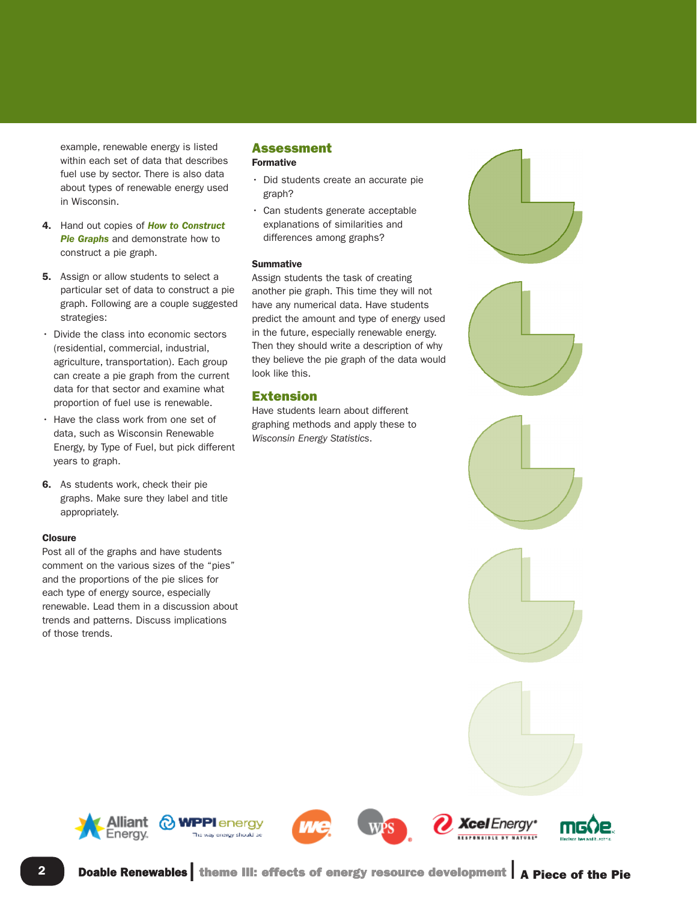example, renewable energy is listed within each set of data that describes fuel use by sector. There is also data about types of renewable energy used in Wisconsin.

- 4. Hand out copies of *How to Construct Pie Graphs* and demonstrate how to construct a pie graph.
- **5.** Assign or allow students to select a particular set of data to construct a pie graph. Following are a couple suggested strategies:
- Divide the class into economic sectors (residential, commercial, industrial, agriculture, transportation). Each group can create a pie graph from the current data for that sector and examine what proportion of fuel use is renewable.
- Have the class work from one set of data, such as Wisconsin Renewable Energy, by Type of Fuel, but pick different years to graph.
- 6. As students work, check their pie graphs. Make sure they label and title appropriately.

#### **Closure**

Post all of the graphs and have students comment on the various sizes of the "pies" and the proportions of the pie slices for each type of energy source, especially renewable. Lead them in a discussion about trends and patterns. Discuss implications of those trends.

#### Assessment Formative

- Did students create an accurate pie graph?
- Can students generate acceptable explanations of similarities and differences among graphs?

#### Summative

Assign students the task of creating another pie graph. This time they will not have any numerical data. Have students predict the amount and type of energy used in the future, especially renewable energy. Then they should write a description of why they believe the pie graph of the data would look like this.

### Extension

Have students learn about different graphing methods and apply these to *Wisconsin Energy Statistics*.